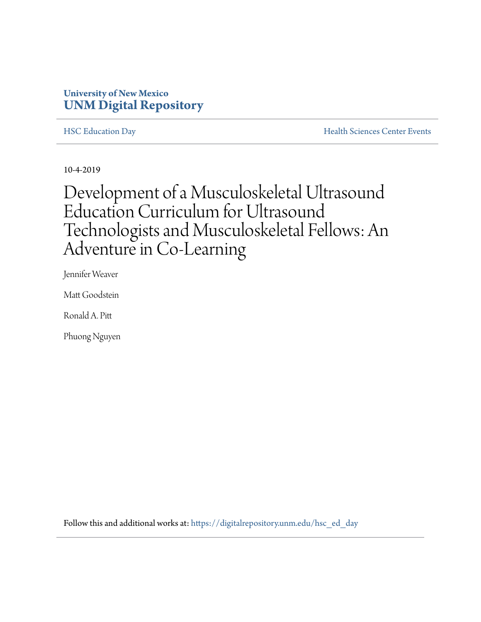## **University of New Mexico [UNM Digital Repository](https://digitalrepository.unm.edu/?utm_source=digitalrepository.unm.edu%2Fhsc_ed_day%2F45&utm_medium=PDF&utm_campaign=PDFCoverPages)**

[HSC Education Day](https://digitalrepository.unm.edu/hsc_ed_day?utm_source=digitalrepository.unm.edu%2Fhsc_ed_day%2F45&utm_medium=PDF&utm_campaign=PDFCoverPages) **[Health Sciences Center Events](https://digitalrepository.unm.edu/hsc_events?utm_source=digitalrepository.unm.edu%2Fhsc_ed_day%2F45&utm_medium=PDF&utm_campaign=PDFCoverPages)** 

10-4-2019

## Development of a Musculoskeletal Ultrasound Education Curriculum for Ultrasound Technologists and Musculoskeletal Fellows: An Adventure in Co-Learning

Jennifer Weaver

Matt Goodstein

Ronald A. Pitt

Phuong Nguyen

Follow this and additional works at: [https://digitalrepository.unm.edu/hsc\\_ed\\_day](https://digitalrepository.unm.edu/hsc_ed_day?utm_source=digitalrepository.unm.edu%2Fhsc_ed_day%2F45&utm_medium=PDF&utm_campaign=PDFCoverPages)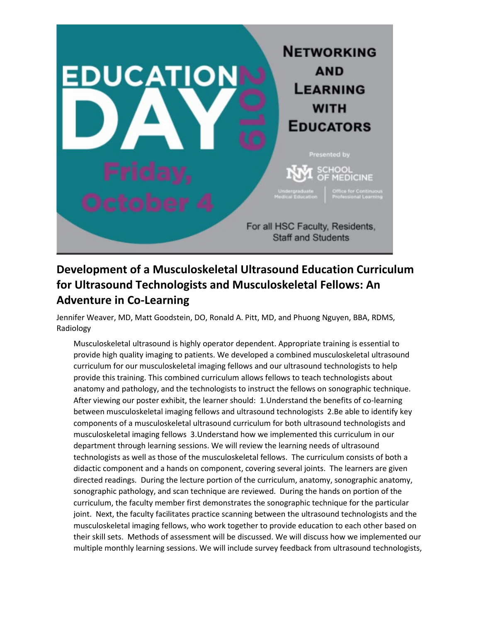

## **Development of a Musculoskeletal Ultrasound Education Curriculum for Ultrasound Technologists and Musculoskeletal Fellows: An Adventure in Co-Learning**

Jennifer Weaver, MD, Matt Goodstein, DO, Ronald A. Pitt, MD, and Phuong Nguyen, BBA, RDMS, Radiology

Musculoskeletal ultrasound is highly operator dependent. Appropriate training is essential to provide high quality imaging to patients. We developed a combined musculoskeletal ultrasound curriculum for our musculoskeletal imaging fellows and our ultrasound technologists to help provide this training. This combined curriculum allows fellows to teach technologists about anatomy and pathology, and the technologists to instruct the fellows on sonographic technique. After viewing our poster exhibit, the learner should: 1.Understand the benefits of co-learning between musculoskeletal imaging fellows and ultrasound technologists 2.Be able to identify key components of a musculoskeletal ultrasound curriculum for both ultrasound technologists and musculoskeletal imaging fellows 3.Understand how we implemented this curriculum in our department through learning sessions. We will review the learning needs of ultrasound technologists as well as those of the musculoskeletal fellows. The curriculum consists of both a didactic component and a hands on component, covering several joints. The learners are given directed readings. During the lecture portion of the curriculum, anatomy, sonographic anatomy, sonographic pathology, and scan technique are reviewed. During the hands on portion of the curriculum, the faculty member first demonstrates the sonographic technique for the particular joint. Next, the faculty facilitates practice scanning between the ultrasound technologists and the musculoskeletal imaging fellows, who work together to provide education to each other based on their skill sets. Methods of assessment will be discussed. We will discuss how we implemented our multiple monthly learning sessions. We will include survey feedback from ultrasound technologists,